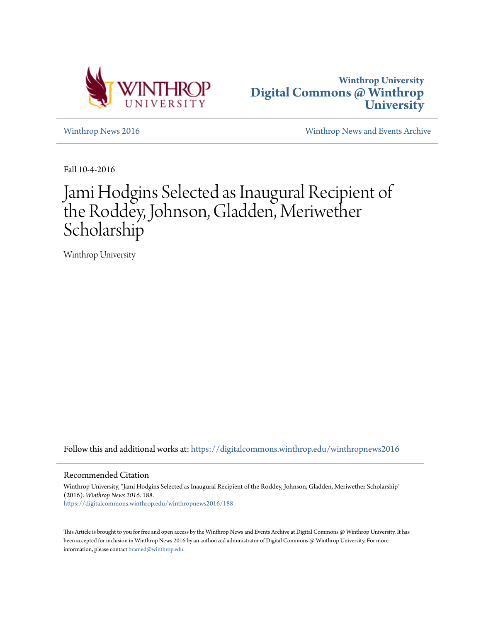



[Winthrop News 2016](https://digitalcommons.winthrop.edu/winthropnews2016?utm_source=digitalcommons.winthrop.edu%2Fwinthropnews2016%2F188&utm_medium=PDF&utm_campaign=PDFCoverPages) [Winthrop News and Events Archive](https://digitalcommons.winthrop.edu/winthropnewsarchives?utm_source=digitalcommons.winthrop.edu%2Fwinthropnews2016%2F188&utm_medium=PDF&utm_campaign=PDFCoverPages)

Fall 10-4-2016

# Jami Hodgins Selected as Inaugural Recipient of the Roddey, Johnson, Gladden, Meriwether Scholarship

Winthrop University

Follow this and additional works at: [https://digitalcommons.winthrop.edu/winthropnews2016](https://digitalcommons.winthrop.edu/winthropnews2016?utm_source=digitalcommons.winthrop.edu%2Fwinthropnews2016%2F188&utm_medium=PDF&utm_campaign=PDFCoverPages)

## Recommended Citation

Winthrop University, "Jami Hodgins Selected as Inaugural Recipient of the Roddey, Johnson, Gladden, Meriwether Scholarship" (2016). *Winthrop News 2016*. 188. [https://digitalcommons.winthrop.edu/winthropnews2016/188](https://digitalcommons.winthrop.edu/winthropnews2016/188?utm_source=digitalcommons.winthrop.edu%2Fwinthropnews2016%2F188&utm_medium=PDF&utm_campaign=PDFCoverPages)

This Article is brought to you for free and open access by the Winthrop News and Events Archive at Digital Commons @ Winthrop University. It has been accepted for inclusion in Winthrop News 2016 by an authorized administrator of Digital Commons @ Winthrop University. For more information, please contact [bramed@winthrop.edu](mailto:bramed@winthrop.edu).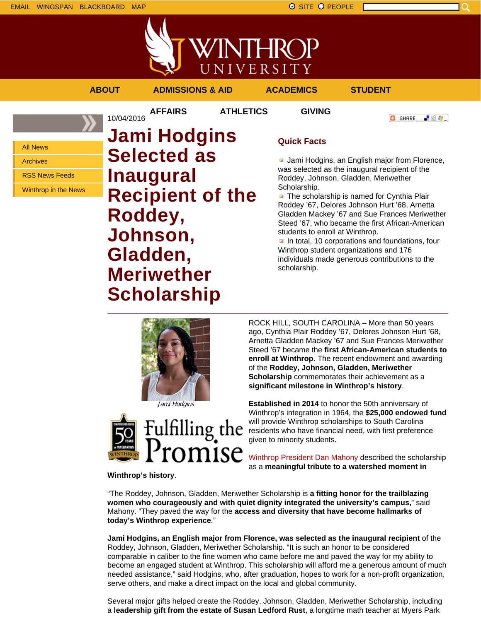EMAIL WINGSPAN BLACKBOARD MAP SITE PEOPLE SAND A SITE PEOPLE

'INTHRC UNIVERSITY

**AFFAIRS ATHLETICS GIVING**

10/04/2016

**ABOUT ADMISSIONS & AID ACADEMICS STUDENT**

「验費」

**O** SHARE

All News

Archives

RSS News Feeds

Winthrop in the News

**Jami Hodgins Selected as Inaugural Recipient of the Roddey, Johnson, Gladden, Meriwether Scholarship**

# **Quick Facts**

**Jami Hodgins, an English major from Florence,** was selected as the inaugural recipient of the Roddey, Johnson, Gladden, Meriwether Scholarship.

**The scholarship is named for Cynthia Plair** Roddey '67, Delores Johnson Hurt '68, Arnetta Gladden Mackey '67 and Sue Frances Meriwether Steed '67, who became the first African-American students to enroll at Winthrop.

In total, 10 corporations and foundations, four Winthrop student organizations and 176 individuals made generous contributions to the scholarship.





ROCK HILL, SOUTH CAROLINA – More than 50 years ago, Cynthia Plair Roddey '67, Delores Johnson Hurt '68, Arnetta Gladden Mackey '67 and Sue Frances Meriwether Steed '67 became the **first African-American students to enroll at Winthrop**. The recent endowment and awarding of the **Roddey, Johnson, Gladden, Meriwether Scholarship** commemorates their achievement as a **significant milestone in Winthrop's history**.

**Established in 2014** to honor the 50th anniversary of Winthrop's integration in 1964, the **\$25,000 endowed fund** will provide Winthrop scholarships to South Carolina residents who have financial need, with first preference given to minority students.

Winthrop President Dan Mahony described the scholarship as a **meaningful tribute to a watershed moment in**

**Winthrop's history**.

"The Roddey, Johnson, Gladden, Meriwether Scholarship is **a fitting honor for the trailblazing women who courageously and with quiet dignity integrated the university's campus,**" said Mahony. "They paved the way for the **access and diversity that have become hallmarks of today's Winthrop experience**."

**Jami Hodgins, an English major from Florence, was selected as the inaugural recipient** of the Roddey, Johnson, Gladden, Meriwether Scholarship. "It is such an honor to be considered comparable in caliber to the fine women who came before me and paved the way for my ability to become an engaged student at Winthrop. This scholarship will afford me a generous amount of much needed assistance," said Hodgins, who, after graduation, hopes to work for a non-profit organization, serve others, and make a direct impact on the local and global community.

Several major gifts helped create the Roddey, Johnson, Gladden, Meriwether Scholarship, including a **leadership gift from the estate of Susan Ledford Rust**, a longtime math teacher at Myers Park